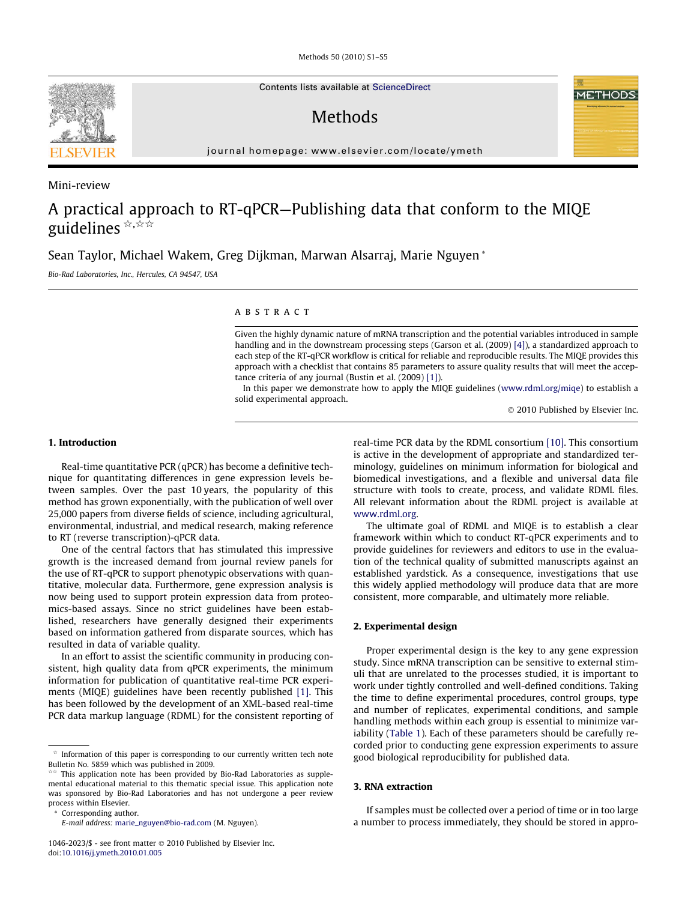Methods 50 (2010) S1–S5

Contents lists available at [ScienceDirect](http://www.sciencedirect.com/science/journal/10462023)

# **Methods**

journal homepage: [www.elsevier.com/locate/ymeth](http://www.elsevier.com/locate/ymeth)

Mini-review

# A practical approach to RT-qPCR—Publishing data that conform to the MIQE guidelines  $\forall x, \forall x$

Sean Taylor, Michael Wakem, Greg Dijkman, Marwan Alsarraj, Marie Nguyen \*

Bio-Rad Laboratories, Inc., Hercules, CA 94547, USA

# ABSTRACT

Given the highly dynamic nature of mRNA transcription and the potential variables introduced in sample handling and in the downstream processing steps (Garson et al. (2009) [\[4\]\)](#page-4-0), a standardized approach to each step of the RT-qPCR workflow is critical for reliable and reproducible results. The MIQE provides this approach with a checklist that contains 85 parameters to assure quality results that will meet the acceptance criteria of any journal (Bustin et al. (2009) [\[1\]\)](#page-4-0).

In this paper we demonstrate how to apply the MIQE guidelines ([www.rdml.org/miqe](http://www.rdml.org/miqe)) to establish a solid experimental approach.

© 2010 Published by Elsevier Inc.

## 1. Introduction

Real-time quantitative PCR (qPCR) has become a definitive technique for quantitating differences in gene expression levels between samples. Over the past 10 years, the popularity of this method has grown exponentially, with the publication of well over 25,000 papers from diverse fields of science, including agricultural, environmental, industrial, and medical research, making reference to RT (reverse transcription)-qPCR data.

One of the central factors that has stimulated this impressive growth is the increased demand from journal review panels for the use of RT-qPCR to support phenotypic observations with quantitative, molecular data. Furthermore, gene expression analysis is now being used to support protein expression data from proteomics-based assays. Since no strict guidelines have been established, researchers have generally designed their experiments based on information gathered from disparate sources, which has resulted in data of variable quality.

In an effort to assist the scientific community in producing consistent, high quality data from qPCR experiments, the minimum information for publication of quantitative real-time PCR experiments (MIQE) guidelines have been recently published [\[1\]](#page-4-0). This has been followed by the development of an XML-based real-time PCR data markup language (RDML) for the consistent reporting of

Corresponding author.

real-time PCR data by the RDML consortium [\[10\]](#page-4-0). This consortium is active in the development of appropriate and standardized terminology, guidelines on minimum information for biological and biomedical investigations, and a flexible and universal data file structure with tools to create, process, and validate RDML files. All relevant information about the RDML project is available at [www.rdml.org.](http://www.rdml.org)

The ultimate goal of RDML and MIQE is to establish a clear framework within which to conduct RT-qPCR experiments and to provide guidelines for reviewers and editors to use in the evaluation of the technical quality of submitted manuscripts against an established yardstick. As a consequence, investigations that use this widely applied methodology will produce data that are more consistent, more comparable, and ultimately more reliable.

## 2. Experimental design

Proper experimental design is the key to any gene expression study. Since mRNA transcription can be sensitive to external stimuli that are unrelated to the processes studied, it is important to work under tightly controlled and well-defined conditions. Taking the time to define experimental procedures, control groups, type and number of replicates, experimental conditions, and sample handling methods within each group is essential to minimize variability ([Table 1](#page-1-0)). Each of these parameters should be carefully recorded prior to conducting gene expression experiments to assure good biological reproducibility for published data.

# 3. RNA extraction

If samples must be collected over a period of time or in too large a number to process immediately, they should be stored in appro-

Information of this paper is corresponding to our currently written tech note Bulletin No. 5859 which was published in 2009.

This application note has been provided by Bio-Rad Laboratories as supplemental educational material to this thematic special issue. This application note was sponsored by Bio-Rad Laboratories and has not undergone a peer review process within Elsevier.

E-mail address: [marie\\_nguyen@bio-rad.com](mailto:marie_nguyen@bio-rad.com) (M. Nguyen).

 $1046 - 2023$ /\$ - see front matter  $\odot$  2010 Published by Elsevier Inc. doi[:10.1016/j.ymeth.2010.01.005](http://dx.doi.org/10.1016/j.ymeth.2010.01.005)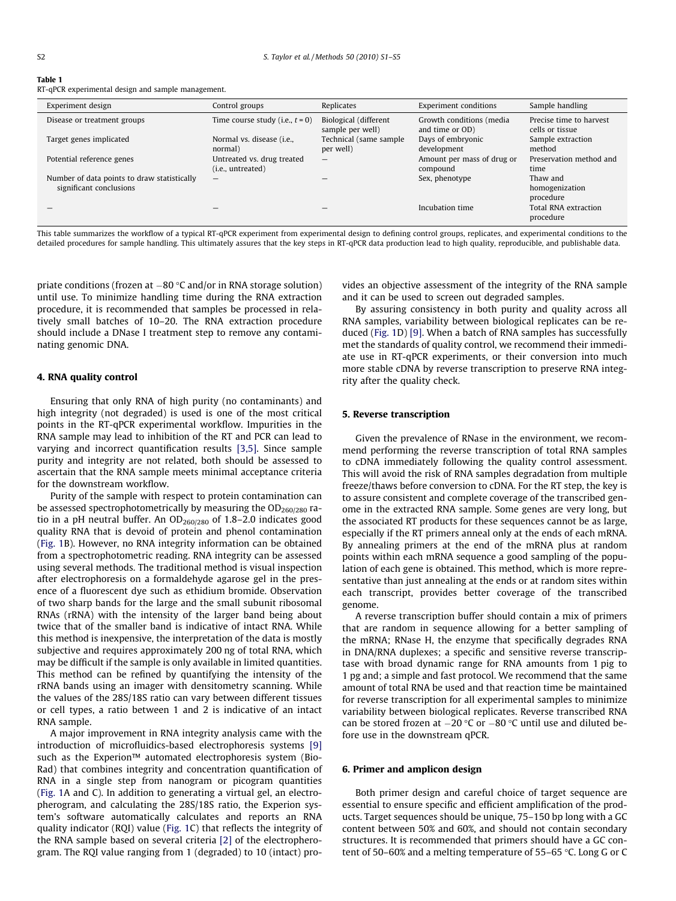<span id="page-1-0"></span>RT-qPCR experimental design and sample management.

| Experiment design                                                      | Control groups                                    | Replicates                                | <b>Experiment conditions</b>                | Sample handling                            |
|------------------------------------------------------------------------|---------------------------------------------------|-------------------------------------------|---------------------------------------------|--------------------------------------------|
| Disease or treatment groups                                            | Time course study (i.e., $t = 0$ )                | Biological (different<br>sample per well) | Growth conditions (media<br>and time or OD) | Precise time to harvest<br>cells or tissue |
| Target genes implicated                                                | Normal vs. disease (i.e.,<br>normal)              | Technical (same sample)<br>per well)      | Days of embryonic<br>development            | Sample extraction<br>method                |
| Potential reference genes                                              | Untreated vs. drug treated<br>$(i.e.,$ untreated) |                                           | Amount per mass of drug or<br>compound      | Preservation method and<br>time            |
| Number of data points to draw statistically<br>significant conclusions |                                                   |                                           | Sex, phenotype                              | Thaw and<br>homogenization<br>procedure    |
|                                                                        |                                                   |                                           | Incubation time                             | Total RNA extraction<br>procedure          |

This table summarizes the workflow of a typical RT-qPCR experiment from experimental design to defining control groups, replicates, and experimental conditions to the detailed procedures for sample handling. This ultimately assures that the key steps in RT-qPCR data production lead to high quality, reproducible, and publishable data.

priate conditions (frozen at –80 °C and/or in RNA storage solution) until use. To minimize handling time during the RNA extraction procedure, it is recommended that samples be processed in relatively small batches of 10–20. The RNA extraction procedure should include a DNase I treatment step to remove any contaminating genomic DNA.

## 4. RNA quality control

Ensuring that only RNA of high purity (no contaminants) and high integrity (not degraded) is used is one of the most critical points in the RT-qPCR experimental workflow. Impurities in the RNA sample may lead to inhibition of the RT and PCR can lead to varying and incorrect quantification results [\[3,5\]](#page-4-0). Since sample purity and integrity are not related, both should be assessed to ascertain that the RNA sample meets minimal acceptance criteria for the downstream workflow.

Purity of the sample with respect to protein contamination can be assessed spectrophotometrically by measuring the  $OD<sub>260/280</sub>$  ratio in a pH neutral buffer. An  $OD<sub>260/280</sub>$  of 1.8–2.0 indicates good quality RNA that is devoid of protein and phenol contamination ([Fig. 1](#page-2-0)B). However, no RNA integrity information can be obtained from a spectrophotometric reading. RNA integrity can be assessed using several methods. The traditional method is visual inspection after electrophoresis on a formaldehyde agarose gel in the presence of a fluorescent dye such as ethidium bromide. Observation of two sharp bands for the large and the small subunit ribosomal RNAs (rRNA) with the intensity of the larger band being about twice that of the smaller band is indicative of intact RNA. While this method is inexpensive, the interpretation of the data is mostly subjective and requires approximately 200 ng of total RNA, which may be difficult if the sample is only available in limited quantities. This method can be refined by quantifying the intensity of the rRNA bands using an imager with densitometry scanning. While the values of the 28S/18S ratio can vary between different tissues or cell types, a ratio between 1 and 2 is indicative of an intact RNA sample.

A major improvement in RNA integrity analysis came with the introduction of microfluidics-based electrophoresis systems [\[9\]](#page-4-0) such as the Experion™ automated electrophoresis system (Bio-Rad) that combines integrity and concentration quantification of RNA in a single step from nanogram or picogram quantities ([Fig. 1](#page-2-0)A and C). In addition to generating a virtual gel, an electropherogram, and calculating the 28S/18S ratio, the Experion system's software automatically calculates and reports an RNA quality indicator (RQI) value ([Fig. 1](#page-2-0)C) that reflects the integrity of the RNA sample based on several criteria [\[2\]](#page-4-0) of the electropherogram. The RQI value ranging from 1 (degraded) to 10 (intact) provides an objective assessment of the integrity of the RNA sample and it can be used to screen out degraded samples.

By assuring consistency in both purity and quality across all RNA samples, variability between biological replicates can be reduced ([Fig. 1](#page-2-0)D) [\[9\].](#page-4-0) When a batch of RNA samples has successfully met the standards of quality control, we recommend their immediate use in RT-qPCR experiments, or their conversion into much more stable cDNA by reverse transcription to preserve RNA integrity after the quality check.

## 5. Reverse transcription

Given the prevalence of RNase in the environment, we recommend performing the reverse transcription of total RNA samples to cDNA immediately following the quality control assessment. This will avoid the risk of RNA samples degradation from multiple freeze/thaws before conversion to cDNA. For the RT step, the key is to assure consistent and complete coverage of the transcribed genome in the extracted RNA sample. Some genes are very long, but the associated RT products for these sequences cannot be as large, especially if the RT primers anneal only at the ends of each mRNA. By annealing primers at the end of the mRNA plus at random points within each mRNA sequence a good sampling of the population of each gene is obtained. This method, which is more representative than just annealing at the ends or at random sites within each transcript, provides better coverage of the transcribed genome.

A reverse transcription buffer should contain a mix of primers that are random in sequence allowing for a better sampling of the mRNA; RNase H, the enzyme that specifically degrades RNA in DNA/RNA duplexes; a specific and sensitive reverse transcriptase with broad dynamic range for RNA amounts from 1 pig to 1 pg and; a simple and fast protocol. We recommend that the same amount of total RNA be used and that reaction time be maintained for reverse transcription for all experimental samples to minimize variability between biological replicates. Reverse transcribed RNA can be stored frozen at  $-20$  °C or  $-80$  °C until use and diluted before use in the downstream qPCR.

## 6. Primer and amplicon design

Both primer design and careful choice of target sequence are essential to ensure specific and efficient amplification of the products. Target sequences should be unique, 75–150 bp long with a GC content between 50% and 60%, and should not contain secondary structures. It is recommended that primers should have a GC content of 50–60% and a melting temperature of 55–65  $\degree$ C. Long G or C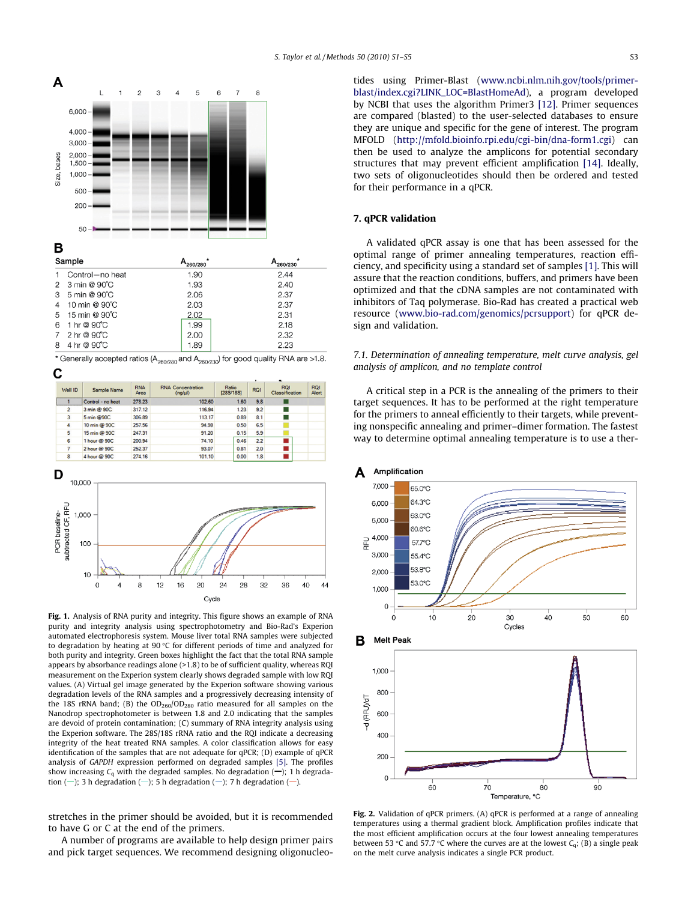<span id="page-2-0"></span>

|                |                                      | zouzou | 200/230 |
|----------------|--------------------------------------|--------|---------|
| $\overline{1}$ | Control-no heat                      | 1.90   | 2.44    |
|                | 2 3 min @ 90°C                       | 1.93   | 2.40    |
|                | 3 5 min @ 90°C                       | 2.06   | 2.37    |
|                | 4 10 min @ 90°C                      | 2.03   | 2.37    |
|                | 5 15 min @ 90°C                      | 2.02   | 2.31    |
|                | 6 1 hr @ 90°C                        | 1.99   | 2.18    |
|                | 7 2 hr @ 90°C                        | 2.00   | 2.32    |
|                | $A \rightarrow A \rightarrow \infty$ | 1.89   | 2.23    |

| * Generally accepted ratios ( $A_{260/280}$ and $A_{260/230}$ ) for good quality RNA are >1.8. |  |  |  |
|------------------------------------------------------------------------------------------------|--|--|--|
| $\ddot{\,}$                                                                                    |  |  |  |



| Well ID | Sample Name       | <b>RNA</b><br>Area | <b>RNA Concentration</b><br>(nq/u) | Ratio<br>[28S/18S] | RQI | <b>RQI</b><br>Classification | <b>RQI</b><br>Alert |
|---------|-------------------|--------------------|------------------------------------|--------------------|-----|------------------------------|---------------------|
|         | Control - no heat | 278.23             | 102.60                             | 1.60               | 9.8 |                              |                     |
| 2       | 3 min @ 90C       | 317.12             | 116.94                             | 1.23               | 9.2 | □                            |                     |
| 3       | 5 min @90C        | 306.89             | 113.17                             | 0.89               | 8.1 |                              |                     |
| 4       | 10 min @ 90C      | 257.56             | 94.98                              | 0.50               | 6.5 |                              |                     |
| 5       | 15 min @ 90C      | 247.31             | 91.20                              | 0.15               | 5.9 |                              |                     |
| 6       | 1 hour @ 90C      | 200.94             | 74.10                              | 0.46               | 2.2 |                              |                     |
|         | 2 hour @ 90C      | 252.37             | 93.07                              | 0.81               | 2.0 |                              |                     |
| 8       | 4 hour @ 90C      | 274.16             | 101.10                             | 0.00               | 1.8 |                              |                     |



Fig. 1. Analysis of RNA purity and integrity. This figure shows an example of RNA purity and integrity analysis using spectrophotometry and Bio-Rad's Experion automated electrophoresis system. Mouse liver total RNA samples were subjected to degradation by heating at 90  $\mathrm{C}$  for different periods of time and analyzed for both purity and integrity. Green boxes highlight the fact that the total RNA sample appears by absorbance readings alone (>1.8) to be of sufficient quality, whereas RQI measurement on the Experion system clearly shows degraded sample with low RQI values. (A) Virtual gel image generated by the Experion software showing various degradation levels of the RNA samples and a progressively decreasing intensity of the 18S rRNA band; (B) the  $OD<sub>260</sub>/OD<sub>280</sub>$  ratio measured for all samples on the Nanodrop spectrophotometer is between 1.8 and 2.0 indicating that the samples are devoid of protein contamination; (C) summary of RNA integrity analysis using the Experion software. The 28S/18S rRNA ratio and the RQI indicate a decreasing integrity of the heat treated RNA samples. A color classification allows for easy identification of the samples that are not adequate for qPCR; (D) example of qPCR analysis of GAPDH expression performed on degraded samples [\[5\]](#page-4-0). The profiles show increasing  $C_q$  with the degraded samples. No degradation  $(-)$ ; 1 h degradation  $(-)$ ; 3 h degradation  $(-)$ ; 5 h degradation  $(-)$ ; 7 h degradation  $(-)$ .

stretches in the primer should be avoided, but it is recommended to have G or C at the end of the primers.

A number of programs are available to help design primer pairs and pick target sequences. We recommend designing oligonucleotides using Primer-Blast ([www.ncbi.nlm.nih.gov/tools/primer](http://www.ncbi.nlm.nih.gov/tools/primer-blast/index.cgi?LINK_LOC=BlastHomeAd)[blast/index.cgi?LINK\\_LOC=BlastHomeAd](http://www.ncbi.nlm.nih.gov/tools/primer-blast/index.cgi?LINK_LOC=BlastHomeAd)), a program developed by NCBI that uses the algorithm Primer3 [\[12\].](#page-4-0) Primer sequences are compared (blasted) to the user-selected databases to ensure they are unique and specific for the gene of interest. The program MFOLD ([http://mfold.bioinfo.rpi.edu/cgi-bin/dna-form1.cgi\)](http://mfold.bioinfo.rpi.edu/cgi-bin/dna-form1.cgi) can then be used to analyze the amplicons for potential secondary structures that may prevent efficient amplification [\[14\].](#page-4-0) Ideally, two sets of oligonucleotides should then be ordered and tested for their performance in a qPCR.

## 7. qPCR validation

A validated qPCR assay is one that has been assessed for the optimal range of primer annealing temperatures, reaction efficiency, and specificity using a standard set of samples [\[1\]](#page-4-0). This will assure that the reaction conditions, buffers, and primers have been optimized and that the cDNA samples are not contaminated with inhibitors of Taq polymerase. Bio-Rad has created a practical web resource ([www.bio-rad.com/genomics/pcrsupport\)](http://www.bio-rad.com/genomics/pcrsupport) for qPCR design and validation.

# 7.1. Determination of annealing temperature, melt curve analysis, gel analysis of amplicon, and no template control

A critical step in a PCR is the annealing of the primers to their target sequences. It has to be performed at the right temperature for the primers to anneal efficiently to their targets, while preventing nonspecific annealing and primer–dimer formation. The fastest way to determine optimal annealing temperature is to use a ther-



Fig. 2. Validation of qPCR primers. (A) qPCR is performed at a range of annealing temperatures using a thermal gradient block. Amplification profiles indicate that the most efficient amplification occurs at the four lowest annealing temperatures between 53 °C and 57.7 °C where the curves are at the lowest  $C_q$ ; (B) a single peak on the melt curve analysis indicates a single PCR product.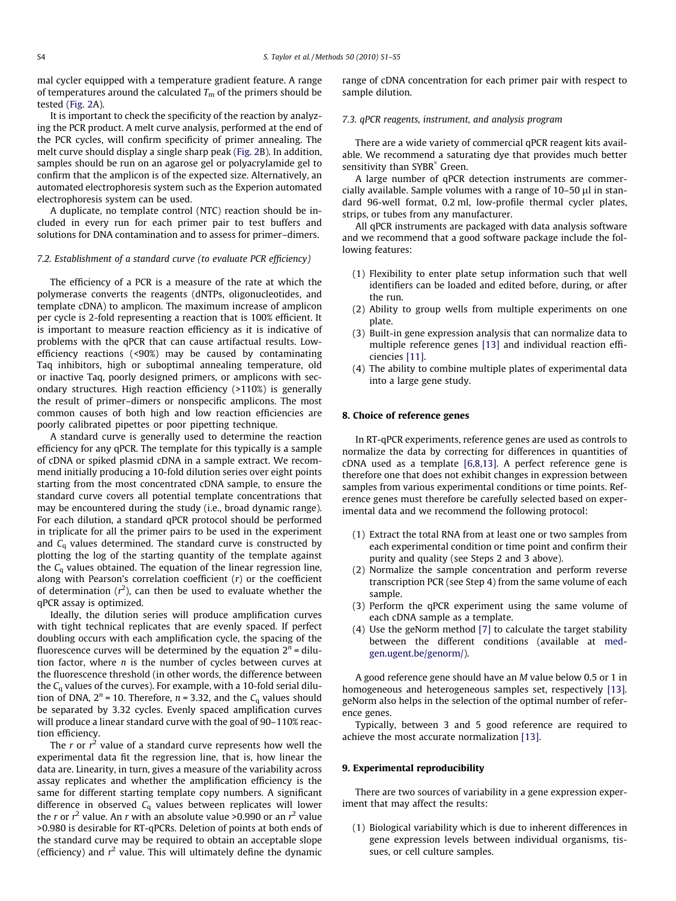mal cycler equipped with a temperature gradient feature. A range of temperatures around the calculated  $T<sub>m</sub>$  of the primers should be tested ([Fig. 2A](#page-2-0)).

It is important to check the specificity of the reaction by analyzing the PCR product. A melt curve analysis, performed at the end of the PCR cycles, will confirm specificity of primer annealing. The melt curve should display a single sharp peak ([Fig. 2B](#page-2-0)). In addition, samples should be run on an agarose gel or polyacrylamide gel to confirm that the amplicon is of the expected size. Alternatively, an automated electrophoresis system such as the Experion automated electrophoresis system can be used.

A duplicate, no template control (NTC) reaction should be included in every run for each primer pair to test buffers and solutions for DNA contamination and to assess for primer–dimers.

## 7.2. Establishment of a standard curve (to evaluate PCR efficiency)

The efficiency of a PCR is a measure of the rate at which the polymerase converts the reagents (dNTPs, oligonucleotides, and template cDNA) to amplicon. The maximum increase of amplicon per cycle is 2-fold representing a reaction that is 100% efficient. It is important to measure reaction efficiency as it is indicative of problems with the qPCR that can cause artifactual results. Lowefficiency reactions (<90%) may be caused by contaminating Taq inhibitors, high or suboptimal annealing temperature, old or inactive Taq, poorly designed primers, or amplicons with secondary structures. High reaction efficiency (>110%) is generally the result of primer–dimers or nonspecific amplicons. The most common causes of both high and low reaction efficiencies are poorly calibrated pipettes or poor pipetting technique.

A standard curve is generally used to determine the reaction efficiency for any qPCR. The template for this typically is a sample of cDNA or spiked plasmid cDNA in a sample extract. We recommend initially producing a 10-fold dilution series over eight points starting from the most concentrated cDNA sample, to ensure the standard curve covers all potential template concentrations that may be encountered during the study (i.e., broad dynamic range). For each dilution, a standard qPCR protocol should be performed in triplicate for all the primer pairs to be used in the experiment and  $C_q$  values determined. The standard curve is constructed by plotting the log of the starting quantity of the template against the  $C_q$  values obtained. The equation of the linear regression line, along with Pearson's correlation coefficient  $(r)$  or the coefficient of determination ( $r^2$ ), can then be used to evaluate whether the qPCR assay is optimized.

Ideally, the dilution series will produce amplification curves with tight technical replicates that are evenly spaced. If perfect doubling occurs with each amplification cycle, the spacing of the fluorescence curves will be determined by the equation  $2<sup>n</sup>$  = dilution factor, where  $n$  is the number of cycles between curves at the fluorescence threshold (in other words, the difference between the  $C_q$  values of the curves). For example, with a 10-fold serial dilution of DNA,  $2^n$  = 10. Therefore,  $n = 3.32$ , and the  $C_q$  values should be separated by 3.32 cycles. Evenly spaced amplification curves will produce a linear standard curve with the goal of 90–110% reaction efficiency.

The  $r$  or  $r^2$  value of a standard curve represents how well the experimental data fit the regression line, that is, how linear the data are. Linearity, in turn, gives a measure of the variability across assay replicates and whether the amplification efficiency is the same for different starting template copy numbers. A significant difference in observed  $C_q$  values between replicates will lower the  $r$  or  $r^2$  value. An  $r$  with an absolute value >0.990 or an  $r^2$  value >0.980 is desirable for RT-qPCRs. Deletion of points at both ends of the standard curve may be required to obtain an acceptable slope (efficiency) and  $r^2$  value. This will ultimately define the dynamic

range of cDNA concentration for each primer pair with respect to sample dilution.

## 7.3. qPCR reagents, instrument, and analysis program

There are a wide variety of commercial qPCR reagent kits available. We recommend a saturating dye that provides much better sensitivity than SYBR<sup>®</sup> Green.

A large number of qPCR detection instruments are commercially available. Sample volumes with a range of  $10-50$   $\mu$ l in standard 96-well format, 0.2 ml, low-profile thermal cycler plates, strips, or tubes from any manufacturer.

All qPCR instruments are packaged with data analysis software and we recommend that a good software package include the following features:

- (1) Flexibility to enter plate setup information such that well identifiers can be loaded and edited before, during, or after the run.
- (2) Ability to group wells from multiple experiments on one plate.
- (3) Built-in gene expression analysis that can normalize data to multiple reference genes [\[13\]](#page-4-0) and individual reaction efficiencies [\[11\].](#page-4-0)
- (4) The ability to combine multiple plates of experimental data into a large gene study.

## 8. Choice of reference genes

In RT-qPCR experiments, reference genes are used as controls to normalize the data by correcting for differences in quantities of cDNA used as a template [\[6,8,13\].](#page-4-0) A perfect reference gene is therefore one that does not exhibit changes in expression between samples from various experimental conditions or time points. Reference genes must therefore be carefully selected based on experimental data and we recommend the following protocol:

- (1) Extract the total RNA from at least one or two samples from each experimental condition or time point and confirm their purity and quality (see Steps 2 and 3 above).
- (2) Normalize the sample concentration and perform reverse transcription PCR (see Step 4) from the same volume of each sample.
- (3) Perform the qPCR experiment using the same volume of each cDNA sample as a template.
- (4) Use the geNorm method [\[7\]](#page-4-0) to calculate the target stability between the different conditions (available at [med](http://medgen.ugent.be/genorm/)[gen.ugent.be/genorm/\)](http://medgen.ugent.be/genorm/).

A good reference gene should have an M value below 0.5 or 1 in homogeneous and heterogeneous samples set, respectively [\[13\].](#page-4-0) geNorm also helps in the selection of the optimal number of reference genes.

Typically, between 3 and 5 good reference are required to achieve the most accurate normalization [\[13\]](#page-4-0).

#### 9. Experimental reproducibility

There are two sources of variability in a gene expression experiment that may affect the results:

(1) Biological variability which is due to inherent differences in gene expression levels between individual organisms, tissues, or cell culture samples.